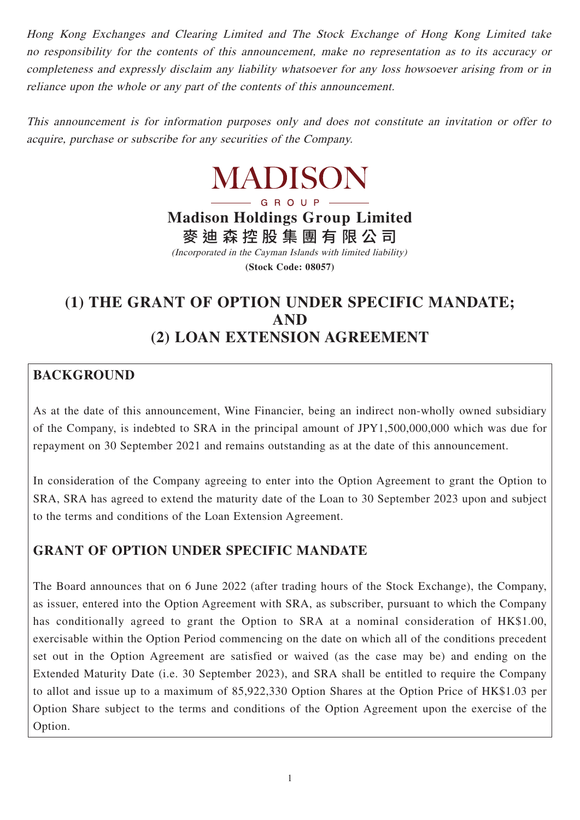Hong Kong Exchanges and Clearing Limited and The Stock Exchange of Hong Kong Limited take no responsibility for the contents of this announcement, make no representation as to its accuracy or completeness and expressly disclaim any liability whatsoever for any loss howsoever arising from or in reliance upon the whole or any part of the contents of this announcement.

This announcement is for information purposes only and does not constitute an invitation or offer to acquire, purchase or subscribe for any securities of the Company.

# MADISON

## GROUP-**Madison Holdings Group Limited** 麥迪森控股集團有限公 司

(Incorporated in the Cayman Islands with limited liability) **(Stock Code: 08057)**

# **(1) THE GRANT OF OPTION UNDER SPECIFIC MANDATE; AND (2) LOAN EXTENSION AGREEMENT**

# **BACKGROUND**

As at the date of this announcement, Wine Financier, being an indirect non-wholly owned subsidiary of the Company, is indebted to SRA in the principal amount of JPY1,500,000,000 which was due for repayment on 30 September 2021 and remains outstanding as at the date of this announcement.

In consideration of the Company agreeing to enter into the Option Agreement to grant the Option to SRA, SRA has agreed to extend the maturity date of the Loan to 30 September 2023 upon and subject to the terms and conditions of the Loan Extension Agreement.

## **GRANT OF OPTION UNDER SPECIFIC MANDATE**

The Board announces that on 6 June 2022 (after trading hours of the Stock Exchange), the Company, as issuer, entered into the Option Agreement with SRA, as subscriber, pursuant to which the Company has conditionally agreed to grant the Option to SRA at a nominal consideration of HK\$1.00, exercisable within the Option Period commencing on the date on which all of the conditions precedent set out in the Option Agreement are satisfied or waived (as the case may be) and ending on the Extended Maturity Date (i.e. 30 September 2023), and SRA shall be entitled to require the Company to allot and issue up to a maximum of 85,922,330 Option Shares at the Option Price of HK\$1.03 per Option Share subject to the terms and conditions of the Option Agreement upon the exercise of the Option.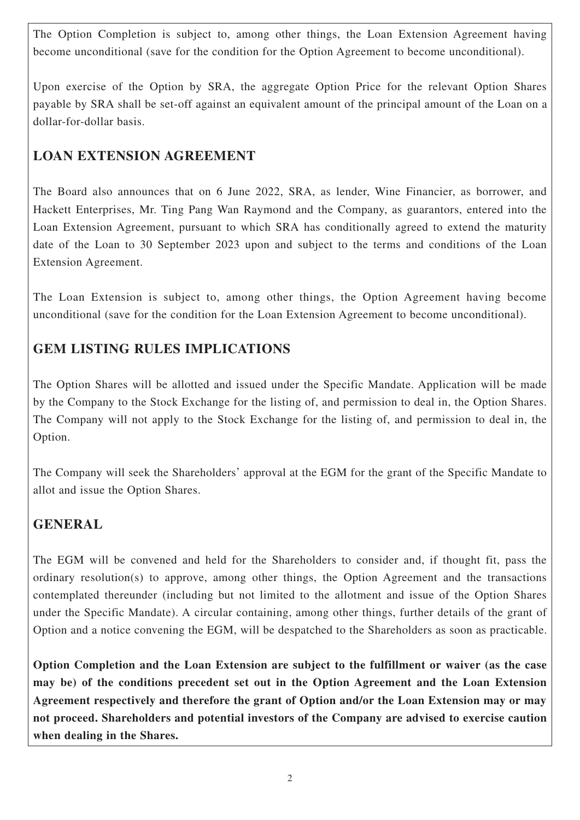The Option Completion is subject to, among other things, the Loan Extension Agreement having become unconditional (save for the condition for the Option Agreement to become unconditional).

Upon exercise of the Option by SRA, the aggregate Option Price for the relevant Option Shares payable by SRA shall be set-off against an equivalent amount of the principal amount of the Loan on a dollar-for-dollar basis.

# **LOAN EXTENSION AGREEMENT**

The Board also announces that on 6 June 2022, SRA, as lender, Wine Financier, as borrower, and Hackett Enterprises, Mr. Ting Pang Wan Raymond and the Company, as guarantors, entered into the Loan Extension Agreement, pursuant to which SRA has conditionally agreed to extend the maturity date of the Loan to 30 September 2023 upon and subject to the terms and conditions of the Loan Extension Agreement.

The Loan Extension is subject to, among other things, the Option Agreement having become unconditional (save for the condition for the Loan Extension Agreement to become unconditional).

# **GEM LISTING RULES IMPLICATIONS**

The Option Shares will be allotted and issued under the Specific Mandate. Application will be made by the Company to the Stock Exchange for the listing of, and permission to deal in, the Option Shares. The Company will not apply to the Stock Exchange for the listing of, and permission to deal in, the Option.

The Company will seek the Shareholders' approval at the EGM for the grant of the Specific Mandate to allot and issue the Option Shares.

## **GENERAL**

The EGM will be convened and held for the Shareholders to consider and, if thought fit, pass the ordinary resolution(s) to approve, among other things, the Option Agreement and the transactions contemplated thereunder (including but not limited to the allotment and issue of the Option Shares under the Specific Mandate). A circular containing, among other things, further details of the grant of Option and a notice convening the EGM, will be despatched to the Shareholders as soon as practicable.

**Option Completion and the Loan Extension are subject to the fulfillment or waiver (as the case may be) of the conditions precedent set out in the Option Agreement and the Loan Extension Agreement respectively and therefore the grant of Option and/or the Loan Extension may or may not proceed. Shareholders and potential investors of the Company are advised to exercise caution when dealing in the Shares.**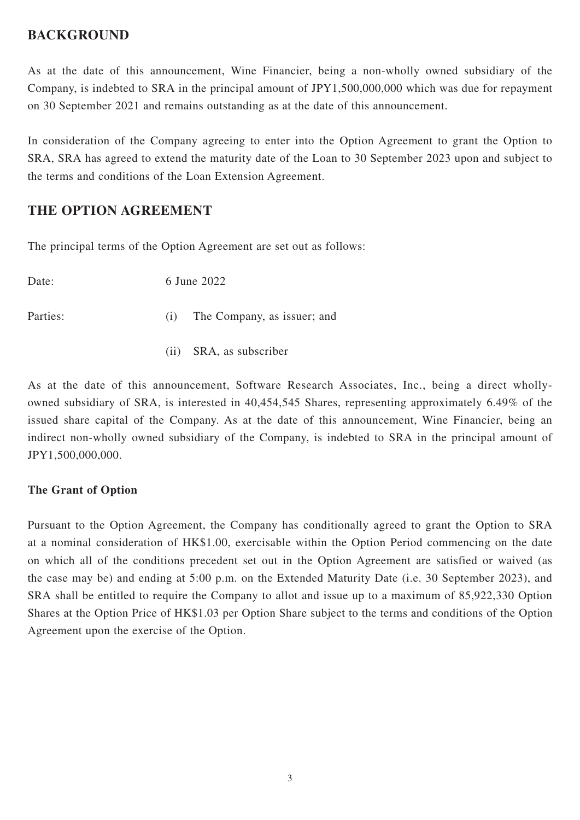## **BACKGROUND**

As at the date of this announcement, Wine Financier, being a non-wholly owned subsidiary of the Company, is indebted to SRA in the principal amount of JPY1,500,000,000 which was due for repayment on 30 September 2021 and remains outstanding as at the date of this announcement.

In consideration of the Company agreeing to enter into the Option Agreement to grant the Option to SRA, SRA has agreed to extend the maturity date of the Loan to 30 September 2023 upon and subject to the terms and conditions of the Loan Extension Agreement.

## **THE OPTION AGREEMENT**

The principal terms of the Option Agreement are set out as follows:

| Date:    |     | 6 June 2022                 |
|----------|-----|-----------------------------|
| Parties: | (1) | The Company, as issuer; and |
|          |     | (ii) SRA, as subscriber     |

As at the date of this announcement, Software Research Associates, Inc., being a direct whollyowned subsidiary of SRA, is interested in 40,454,545 Shares, representing approximately 6.49% of the issued share capital of the Company. As at the date of this announcement, Wine Financier, being an indirect non-wholly owned subsidiary of the Company, is indebted to SRA in the principal amount of JPY1,500,000,000.

## **The Grant of Option**

Pursuant to the Option Agreement, the Company has conditionally agreed to grant the Option to SRA at a nominal consideration of HK\$1.00, exercisable within the Option Period commencing on the date on which all of the conditions precedent set out in the Option Agreement are satisfied or waived (as the case may be) and ending at 5:00 p.m. on the Extended Maturity Date (i.e. 30 September 2023), and SRA shall be entitled to require the Company to allot and issue up to a maximum of 85,922,330 Option Shares at the Option Price of HK\$1.03 per Option Share subject to the terms and conditions of the Option Agreement upon the exercise of the Option.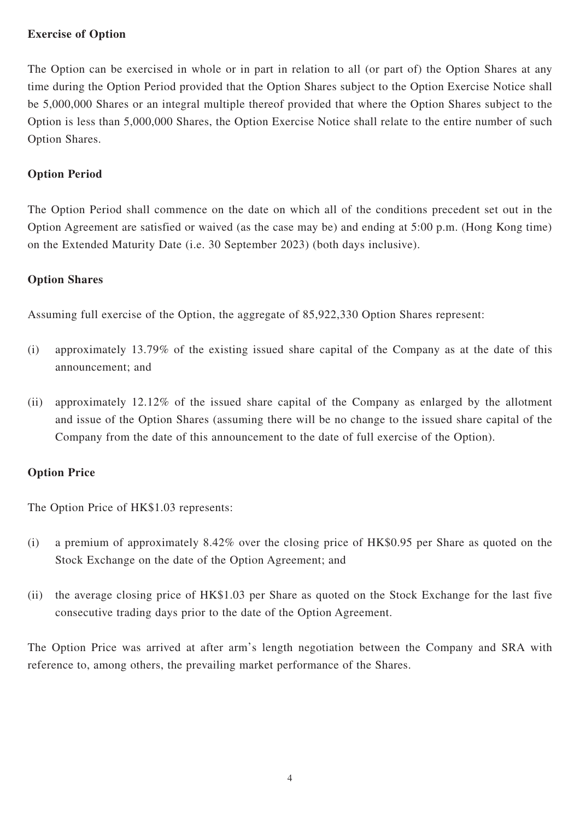### **Exercise of Option**

The Option can be exercised in whole or in part in relation to all (or part of) the Option Shares at any time during the Option Period provided that the Option Shares subject to the Option Exercise Notice shall be 5,000,000 Shares or an integral multiple thereof provided that where the Option Shares subject to the Option is less than 5,000,000 Shares, the Option Exercise Notice shall relate to the entire number of such Option Shares.

## **Option Period**

The Option Period shall commence on the date on which all of the conditions precedent set out in the Option Agreement are satisfied or waived (as the case may be) and ending at 5:00 p.m. (Hong Kong time) on the Extended Maturity Date (i.e. 30 September 2023) (both days inclusive).

#### **Option Shares**

Assuming full exercise of the Option, the aggregate of 85,922,330 Option Shares represent:

- (i) approximately 13.79% of the existing issued share capital of the Company as at the date of this announcement; and
- (ii) approximately 12.12% of the issued share capital of the Company as enlarged by the allotment and issue of the Option Shares (assuming there will be no change to the issued share capital of the Company from the date of this announcement to the date of full exercise of the Option).

## **Option Price**

The Option Price of HK\$1.03 represents:

- (i) a premium of approximately 8.42% over the closing price of HK\$0.95 per Share as quoted on the Stock Exchange on the date of the Option Agreement; and
- (ii) the average closing price of HK\$1.03 per Share as quoted on the Stock Exchange for the last five consecutive trading days prior to the date of the Option Agreement.

The Option Price was arrived at after arm's length negotiation between the Company and SRA with reference to, among others, the prevailing market performance of the Shares.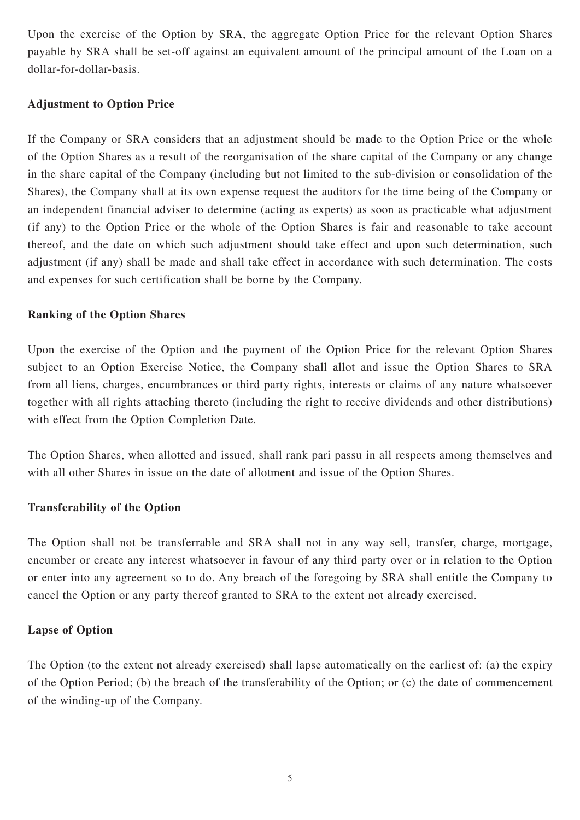Upon the exercise of the Option by SRA, the aggregate Option Price for the relevant Option Shares payable by SRA shall be set-off against an equivalent amount of the principal amount of the Loan on a dollar-for-dollar-basis.

### **Adjustment to Option Price**

If the Company or SRA considers that an adjustment should be made to the Option Price or the whole of the Option Shares as a result of the reorganisation of the share capital of the Company or any change in the share capital of the Company (including but not limited to the sub-division or consolidation of the Shares), the Company shall at its own expense request the auditors for the time being of the Company or an independent financial adviser to determine (acting as experts) as soon as practicable what adjustment (if any) to the Option Price or the whole of the Option Shares is fair and reasonable to take account thereof, and the date on which such adjustment should take effect and upon such determination, such adjustment (if any) shall be made and shall take effect in accordance with such determination. The costs and expenses for such certification shall be borne by the Company.

#### **Ranking of the Option Shares**

Upon the exercise of the Option and the payment of the Option Price for the relevant Option Shares subject to an Option Exercise Notice, the Company shall allot and issue the Option Shares to SRA from all liens, charges, encumbrances or third party rights, interests or claims of any nature whatsoever together with all rights attaching thereto (including the right to receive dividends and other distributions) with effect from the Option Completion Date.

The Option Shares, when allotted and issued, shall rank pari passu in all respects among themselves and with all other Shares in issue on the date of allotment and issue of the Option Shares.

## **Transferability of the Option**

The Option shall not be transferrable and SRA shall not in any way sell, transfer, charge, mortgage, encumber or create any interest whatsoever in favour of any third party over or in relation to the Option or enter into any agreement so to do. Any breach of the foregoing by SRA shall entitle the Company to cancel the Option or any party thereof granted to SRA to the extent not already exercised.

#### **Lapse of Option**

The Option (to the extent not already exercised) shall lapse automatically on the earliest of: (a) the expiry of the Option Period; (b) the breach of the transferability of the Option; or (c) the date of commencement of the winding-up of the Company.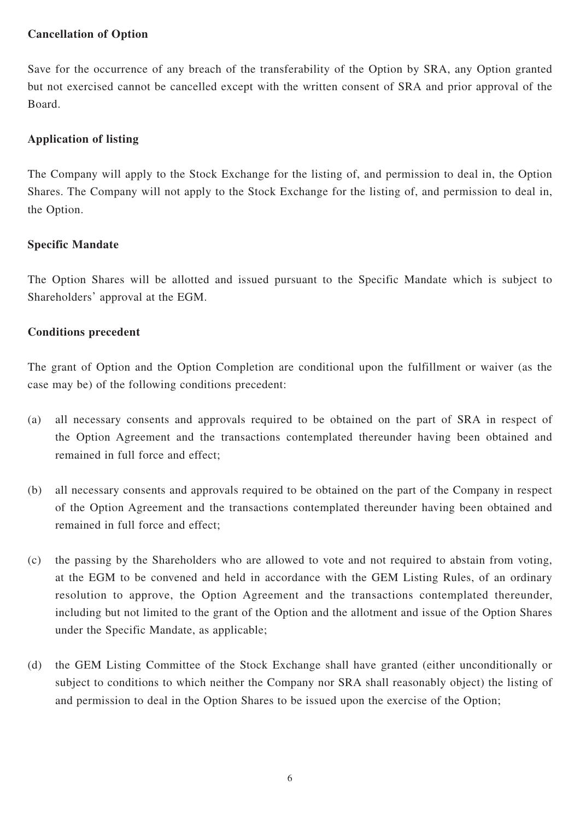#### **Cancellation of Option**

Save for the occurrence of any breach of the transferability of the Option by SRA, any Option granted but not exercised cannot be cancelled except with the written consent of SRA and prior approval of the Board.

#### **Application of listing**

The Company will apply to the Stock Exchange for the listing of, and permission to deal in, the Option Shares. The Company will not apply to the Stock Exchange for the listing of, and permission to deal in, the Option.

#### **Specific Mandate**

The Option Shares will be allotted and issued pursuant to the Specific Mandate which is subject to Shareholders' approval at the EGM.

#### **Conditions precedent**

The grant of Option and the Option Completion are conditional upon the fulfillment or waiver (as the case may be) of the following conditions precedent:

- (a) all necessary consents and approvals required to be obtained on the part of SRA in respect of the Option Agreement and the transactions contemplated thereunder having been obtained and remained in full force and effect;
- (b) all necessary consents and approvals required to be obtained on the part of the Company in respect of the Option Agreement and the transactions contemplated thereunder having been obtained and remained in full force and effect;
- (c) the passing by the Shareholders who are allowed to vote and not required to abstain from voting, at the EGM to be convened and held in accordance with the GEM Listing Rules, of an ordinary resolution to approve, the Option Agreement and the transactions contemplated thereunder, including but not limited to the grant of the Option and the allotment and issue of the Option Shares under the Specific Mandate, as applicable;
- (d) the GEM Listing Committee of the Stock Exchange shall have granted (either unconditionally or subject to conditions to which neither the Company nor SRA shall reasonably object) the listing of and permission to deal in the Option Shares to be issued upon the exercise of the Option;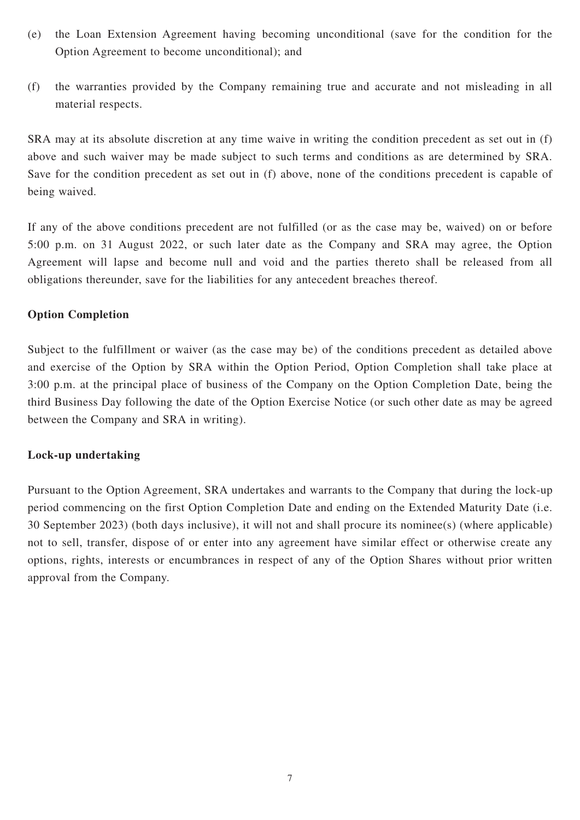- (e) the Loan Extension Agreement having becoming unconditional (save for the condition for the Option Agreement to become unconditional); and
- (f) the warranties provided by the Company remaining true and accurate and not misleading in all material respects.

SRA may at its absolute discretion at any time waive in writing the condition precedent as set out in (f) above and such waiver may be made subject to such terms and conditions as are determined by SRA. Save for the condition precedent as set out in (f) above, none of the conditions precedent is capable of being waived.

If any of the above conditions precedent are not fulfilled (or as the case may be, waived) on or before 5:00 p.m. on 31 August 2022, or such later date as the Company and SRA may agree, the Option Agreement will lapse and become null and void and the parties thereto shall be released from all obligations thereunder, save for the liabilities for any antecedent breaches thereof.

#### **Option Completion**

Subject to the fulfillment or waiver (as the case may be) of the conditions precedent as detailed above and exercise of the Option by SRA within the Option Period, Option Completion shall take place at 3:00 p.m. at the principal place of business of the Company on the Option Completion Date, being the third Business Day following the date of the Option Exercise Notice (or such other date as may be agreed between the Company and SRA in writing).

#### **Lock-up undertaking**

Pursuant to the Option Agreement, SRA undertakes and warrants to the Company that during the lock-up period commencing on the first Option Completion Date and ending on the Extended Maturity Date (i.e. 30 September 2023) (both days inclusive), it will not and shall procure its nominee(s) (where applicable) not to sell, transfer, dispose of or enter into any agreement have similar effect or otherwise create any options, rights, interests or encumbrances in respect of any of the Option Shares without prior written approval from the Company.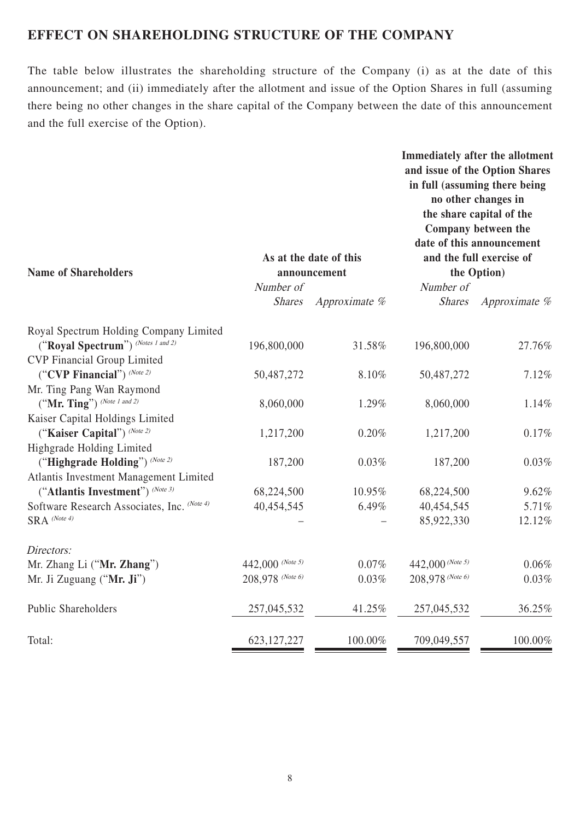## **EFFECT ON SHAREHOLDING STRUCTURE OF THE COMPANY**

The table below illustrates the shareholding structure of the Company (i) as at the date of this announcement; and (ii) immediately after the allotment and issue of the Option Shares in full (assuming there being no other changes in the share capital of the Company between the date of this announcement and the full exercise of the Option).

| <b>Name of Shareholders</b>                 |                  | As at the date of this<br>announcement |                  | Immediately after the allotment<br>and issue of the Option Shares<br>in full (assuming there being<br>no other changes in<br>the share capital of the<br>Company between the<br>date of this announcement<br>and the full exercise of<br>the Option) |
|---------------------------------------------|------------------|----------------------------------------|------------------|------------------------------------------------------------------------------------------------------------------------------------------------------------------------------------------------------------------------------------------------------|
|                                             | Number of        |                                        | Number of        |                                                                                                                                                                                                                                                      |
|                                             | <b>Shares</b>    | Approximate %                          | <b>Shares</b>    | Approximate %                                                                                                                                                                                                                                        |
| Royal Spectrum Holding Company Limited      |                  |                                        |                  |                                                                                                                                                                                                                                                      |
| ("Royal Spectrum") (Notes 1 and 2)          | 196,800,000      | 31.58%                                 | 196,800,000      | 27.76%                                                                                                                                                                                                                                               |
| <b>CVP</b> Financial Group Limited          |                  |                                        |                  |                                                                                                                                                                                                                                                      |
| ("CVP Financial") (Note 2)                  | 50,487,272       | 8.10%                                  | 50,487,272       | 7.12%                                                                                                                                                                                                                                                |
| Mr. Ting Pang Wan Raymond                   |                  |                                        |                  |                                                                                                                                                                                                                                                      |
| ("Mr. Ting") (Note 1 and 2)                 | 8,060,000        | 1.29%                                  | 8,060,000        | 1.14%                                                                                                                                                                                                                                                |
| Kaiser Capital Holdings Limited             |                  |                                        |                  |                                                                                                                                                                                                                                                      |
| ("Kaiser Capital") (Note 2)                 | 1,217,200        | 0.20%                                  | 1,217,200        | 0.17%                                                                                                                                                                                                                                                |
| Highgrade Holding Limited                   |                  |                                        |                  |                                                                                                                                                                                                                                                      |
| ("Highgrade Holding") (Note 2)              | 187,200          | 0.03%                                  | 187,200          | 0.03%                                                                                                                                                                                                                                                |
| Atlantis Investment Management Limited      |                  |                                        |                  |                                                                                                                                                                                                                                                      |
| ("Atlantis Investment") (Note 3)            | 68,224,500       | 10.95%                                 | 68,224,500       | 9.62%                                                                                                                                                                                                                                                |
| Software Research Associates, Inc. (Note 4) | 40,454,545       | 6.49%                                  | 40,454,545       | 5.71%                                                                                                                                                                                                                                                |
| $SRA$ (Note 4)                              |                  |                                        | 85,922,330       | 12.12%                                                                                                                                                                                                                                               |
| Directors:                                  |                  |                                        |                  |                                                                                                                                                                                                                                                      |
| Mr. Zhang Li ("Mr. Zhang")                  | 442,000 (Note 5) | 0.07%                                  | 442,000 (Note 5) | 0.06%                                                                                                                                                                                                                                                |
| Mr. Ji Zuguang ("Mr. Ji")                   | 208,978 (Note 6) | 0.03%                                  | 208,978 (Note 6) | 0.03%                                                                                                                                                                                                                                                |
| <b>Public Shareholders</b>                  | 257,045,532      | 41.25%                                 | 257,045,532      | 36.25%                                                                                                                                                                                                                                               |
| Total:                                      | 623, 127, 227    | 100.00%                                | 709,049,557      | 100.00%                                                                                                                                                                                                                                              |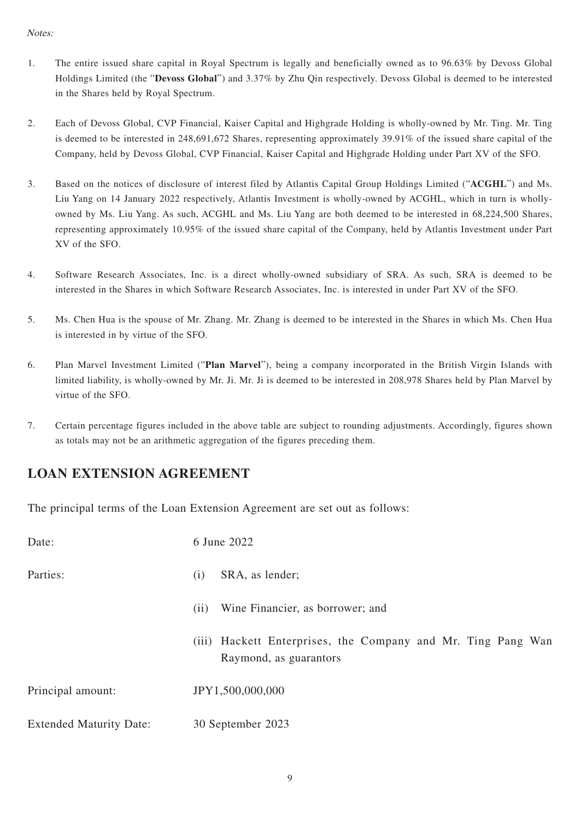#### Notes:

- 1. The entire issued share capital in Royal Spectrum is legally and beneficially owned as to 96.63% by Devoss Global Holdings Limited (the "**Devoss Global**") and 3.37% by Zhu Qin respectively. Devoss Global is deemed to be interested in the Shares held by Royal Spectrum.
- 2. Each of Devoss Global, CVP Financial, Kaiser Capital and Highgrade Holding is wholly-owned by Mr. Ting. Mr. Ting is deemed to be interested in 248,691,672 Shares, representing approximately 39.91% of the issued share capital of the Company, held by Devoss Global, CVP Financial, Kaiser Capital and Highgrade Holding under Part XV of the SFO.
- 3. Based on the notices of disclosure of interest filed by Atlantis Capital Group Holdings Limited ("**ACGHL**") and Ms. Liu Yang on 14 January 2022 respectively, Atlantis Investment is wholly-owned by ACGHL, which in turn is whollyowned by Ms. Liu Yang. As such, ACGHL and Ms. Liu Yang are both deemed to be interested in 68,224,500 Shares, representing approximately 10.95% of the issued share capital of the Company, held by Atlantis Investment under Part XV of the SFO.
- 4. Software Research Associates, Inc. is a direct wholly-owned subsidiary of SRA. As such, SRA is deemed to be interested in the Shares in which Software Research Associates, Inc. is interested in under Part XV of the SFO.
- 5. Ms. Chen Hua is the spouse of Mr. Zhang. Mr. Zhang is deemed to be interested in the Shares in which Ms. Chen Hua is interested in by virtue of the SFO.
- 6. Plan Marvel Investment Limited ("**Plan Marvel**"), being a company incorporated in the British Virgin Islands with limited liability, is wholly-owned by Mr. Ji. Mr. Ji is deemed to be interested in 208,978 Shares held by Plan Marvel by virtue of the SFO.
- 7. Certain percentage figures included in the above table are subject to rounding adjustments. Accordingly, figures shown as totals may not be an arithmetic aggregation of the figures preceding them.

## **LOAN EXTENSION AGREEMENT**

The principal terms of the Loan Extension Agreement are set out as follows:

| Date:                          | 6 June 2022                                                                               |
|--------------------------------|-------------------------------------------------------------------------------------------|
| Parties:                       | SRA, as lender;<br>(i)                                                                    |
|                                | Wine Financier, as borrower; and<br>(ii)                                                  |
|                                | Hackett Enterprises, the Company and Mr. Ting Pang Wan<br>(iii)<br>Raymond, as guarantors |
| Principal amount:              | JPY1,500,000,000                                                                          |
| <b>Extended Maturity Date:</b> | 30 September 2023                                                                         |
|                                |                                                                                           |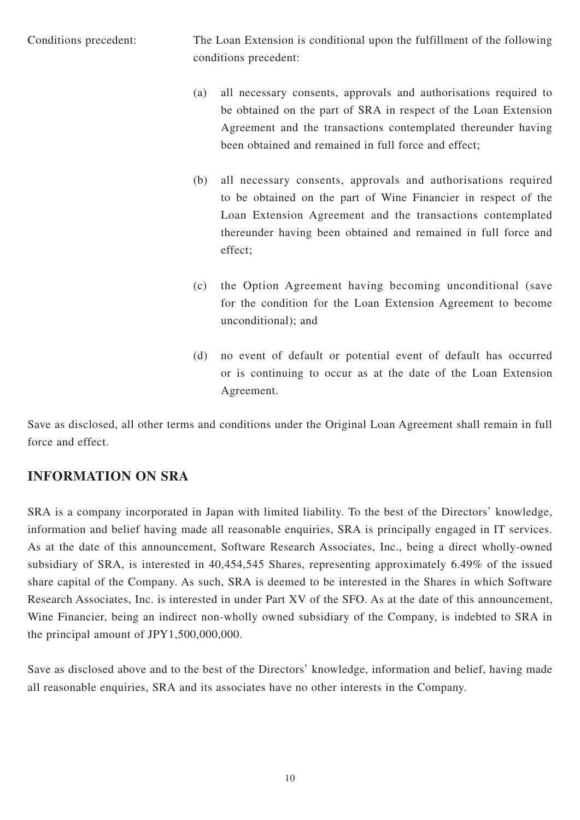Conditions precedent: The Loan Extension is conditional upon the fulfillment of the following conditions precedent:

- (a) all necessary consents, approvals and authorisations required to be obtained on the part of SRA in respect of the Loan Extension Agreement and the transactions contemplated thereunder having been obtained and remained in full force and effect;
- (b) all necessary consents, approvals and authorisations required to be obtained on the part of Wine Financier in respect of the Loan Extension Agreement and the transactions contemplated thereunder having been obtained and remained in full force and effect;
- (c) the Option Agreement having becoming unconditional (save for the condition for the Loan Extension Agreement to become unconditional); and
- (d) no event of default or potential event of default has occurred or is continuing to occur as at the date of the Loan Extension Agreement.

Save as disclosed, all other terms and conditions under the Original Loan Agreement shall remain in full force and effect.

## **INFORMATION ON SRA**

SRA is a company incorporated in Japan with limited liability. To the best of the Directors' knowledge, information and belief having made all reasonable enquiries, SRA is principally engaged in IT services. As at the date of this announcement, Software Research Associates, Inc., being a direct wholly-owned subsidiary of SRA, is interested in 40,454,545 Shares, representing approximately 6.49% of the issued share capital of the Company. As such, SRA is deemed to be interested in the Shares in which Software Research Associates, Inc. is interested in under Part XV of the SFO. As at the date of this announcement, Wine Financier, being an indirect non-wholly owned subsidiary of the Company, is indebted to SRA in the principal amount of JPY1,500,000,000.

Save as disclosed above and to the best of the Directors' knowledge, information and belief, having made all reasonable enquiries, SRA and its associates have no other interests in the Company.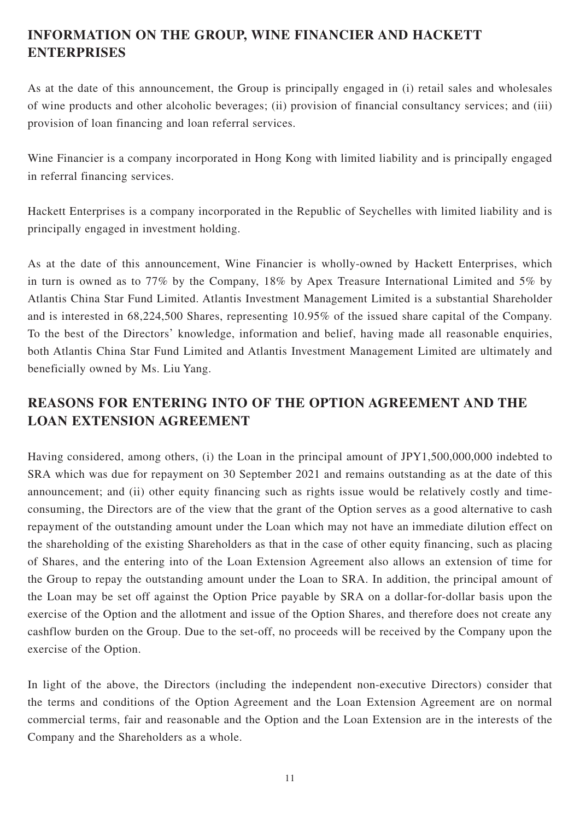# **INFORMATION ON THE GROUP, WINE FINANCIER AND HACKETT ENTERPRISES**

As at the date of this announcement, the Group is principally engaged in (i) retail sales and wholesales of wine products and other alcoholic beverages; (ii) provision of financial consultancy services; and (iii) provision of loan financing and loan referral services.

Wine Financier is a company incorporated in Hong Kong with limited liability and is principally engaged in referral financing services.

Hackett Enterprises is a company incorporated in the Republic of Seychelles with limited liability and is principally engaged in investment holding.

As at the date of this announcement, Wine Financier is wholly-owned by Hackett Enterprises, which in turn is owned as to 77% by the Company, 18% by Apex Treasure International Limited and 5% by Atlantis China Star Fund Limited. Atlantis Investment Management Limited is a substantial Shareholder and is interested in 68,224,500 Shares, representing 10.95% of the issued share capital of the Company. To the best of the Directors' knowledge, information and belief, having made all reasonable enquiries, both Atlantis China Star Fund Limited and Atlantis Investment Management Limited are ultimately and beneficially owned by Ms. Liu Yang.

# **REASONS FOR ENTERING INTO OF THE OPTION AGREEMENT AND THE LOAN EXTENSION AGREEMENT**

Having considered, among others, (i) the Loan in the principal amount of JPY1,500,000,000 indebted to SRA which was due for repayment on 30 September 2021 and remains outstanding as at the date of this announcement; and (ii) other equity financing such as rights issue would be relatively costly and timeconsuming, the Directors are of the view that the grant of the Option serves as a good alternative to cash repayment of the outstanding amount under the Loan which may not have an immediate dilution effect on the shareholding of the existing Shareholders as that in the case of other equity financing, such as placing of Shares, and the entering into of the Loan Extension Agreement also allows an extension of time for the Group to repay the outstanding amount under the Loan to SRA. In addition, the principal amount of the Loan may be set off against the Option Price payable by SRA on a dollar-for-dollar basis upon the exercise of the Option and the allotment and issue of the Option Shares, and therefore does not create any cashflow burden on the Group. Due to the set-off, no proceeds will be received by the Company upon the exercise of the Option.

In light of the above, the Directors (including the independent non-executive Directors) consider that the terms and conditions of the Option Agreement and the Loan Extension Agreement are on normal commercial terms, fair and reasonable and the Option and the Loan Extension are in the interests of the Company and the Shareholders as a whole.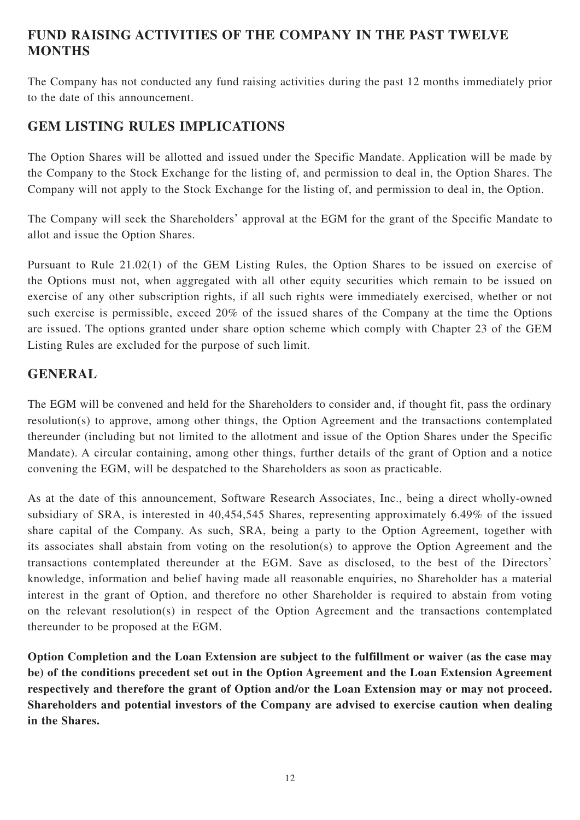## **FUND RAISING ACTIVITIES OF THE COMPANY IN THE PAST TWELVE MONTHS**

The Company has not conducted any fund raising activities during the past 12 months immediately prior to the date of this announcement.

## **GEM LISTING RULES IMPLICATIONS**

The Option Shares will be allotted and issued under the Specific Mandate. Application will be made by the Company to the Stock Exchange for the listing of, and permission to deal in, the Option Shares. The Company will not apply to the Stock Exchange for the listing of, and permission to deal in, the Option.

The Company will seek the Shareholders' approval at the EGM for the grant of the Specific Mandate to allot and issue the Option Shares.

Pursuant to Rule 21.02(1) of the GEM Listing Rules, the Option Shares to be issued on exercise of the Options must not, when aggregated with all other equity securities which remain to be issued on exercise of any other subscription rights, if all such rights were immediately exercised, whether or not such exercise is permissible, exceed 20% of the issued shares of the Company at the time the Options are issued. The options granted under share option scheme which comply with Chapter 23 of the GEM Listing Rules are excluded for the purpose of such limit.

## **GENERAL**

The EGM will be convened and held for the Shareholders to consider and, if thought fit, pass the ordinary resolution(s) to approve, among other things, the Option Agreement and the transactions contemplated thereunder (including but not limited to the allotment and issue of the Option Shares under the Specific Mandate). A circular containing, among other things, further details of the grant of Option and a notice convening the EGM, will be despatched to the Shareholders as soon as practicable.

As at the date of this announcement, Software Research Associates, Inc., being a direct wholly-owned subsidiary of SRA, is interested in 40,454,545 Shares, representing approximately 6.49% of the issued share capital of the Company. As such, SRA, being a party to the Option Agreement, together with its associates shall abstain from voting on the resolution(s) to approve the Option Agreement and the transactions contemplated thereunder at the EGM. Save as disclosed, to the best of the Directors' knowledge, information and belief having made all reasonable enquiries, no Shareholder has a material interest in the grant of Option, and therefore no other Shareholder is required to abstain from voting on the relevant resolution(s) in respect of the Option Agreement and the transactions contemplated thereunder to be proposed at the EGM.

**Option Completion and the Loan Extension are subject to the fulfillment or waiver (as the case may be) of the conditions precedent set out in the Option Agreement and the Loan Extension Agreement respectively and therefore the grant of Option and/or the Loan Extension may or may not proceed. Shareholders and potential investors of the Company are advised to exercise caution when dealing in the Shares.**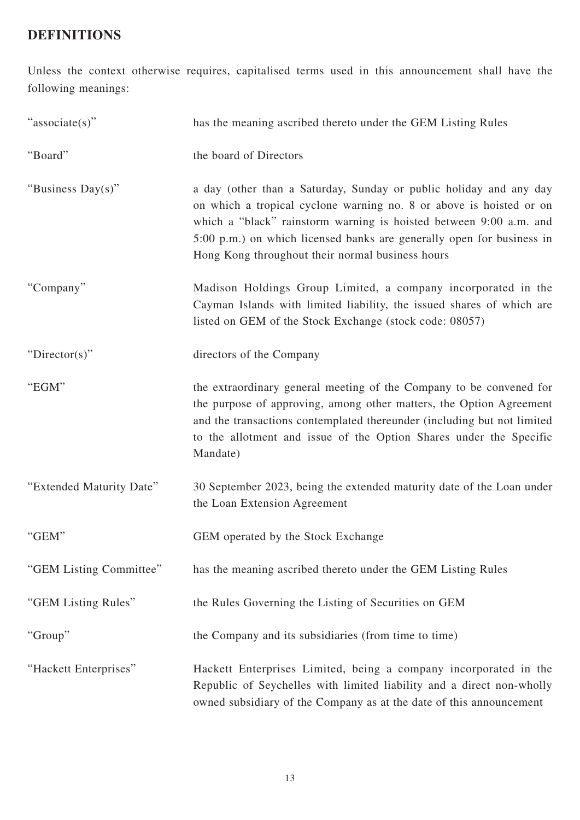# **DEFINITIONS**

Unless the context otherwise requires, capitalised terms used in this announcement shall have the following meanings:

| "associate(s)"           | has the meaning ascribed thereto under the GEM Listing Rules                                                                                                                                                                                                                                                                                 |
|--------------------------|----------------------------------------------------------------------------------------------------------------------------------------------------------------------------------------------------------------------------------------------------------------------------------------------------------------------------------------------|
| "Board"                  | the board of Directors                                                                                                                                                                                                                                                                                                                       |
| "Business Day(s)"        | a day (other than a Saturday, Sunday or public holiday and any day<br>on which a tropical cyclone warning no. 8 or above is hoisted or on<br>which a "black" rainstorm warning is hoisted between 9:00 a.m. and<br>5:00 p.m.) on which licensed banks are generally open for business in<br>Hong Kong throughout their normal business hours |
| "Company"                | Madison Holdings Group Limited, a company incorporated in the<br>Cayman Islands with limited liability, the issued shares of which are<br>listed on GEM of the Stock Exchange (stock code: 08057)                                                                                                                                            |
| " $Directory$ "          | directors of the Company                                                                                                                                                                                                                                                                                                                     |
| "EGM"                    | the extraordinary general meeting of the Company to be convened for<br>the purpose of approving, among other matters, the Option Agreement<br>and the transactions contemplated thereunder (including but not limited<br>to the allotment and issue of the Option Shares under the Specific<br>Mandate)                                      |
| "Extended Maturity Date" | 30 September 2023, being the extended maturity date of the Loan under<br>the Loan Extension Agreement                                                                                                                                                                                                                                        |
| "GEM"                    | GEM operated by the Stock Exchange                                                                                                                                                                                                                                                                                                           |
| "GEM Listing Committee"  | has the meaning ascribed thereto under the GEM Listing Rules                                                                                                                                                                                                                                                                                 |
| "GEM Listing Rules"      | the Rules Governing the Listing of Securities on GEM                                                                                                                                                                                                                                                                                         |
| "Group"                  | the Company and its subsidiaries (from time to time)                                                                                                                                                                                                                                                                                         |
| "Hackett Enterprises"    | Hackett Enterprises Limited, being a company incorporated in the<br>Republic of Seychelles with limited liability and a direct non-wholly<br>owned subsidiary of the Company as at the date of this announcement                                                                                                                             |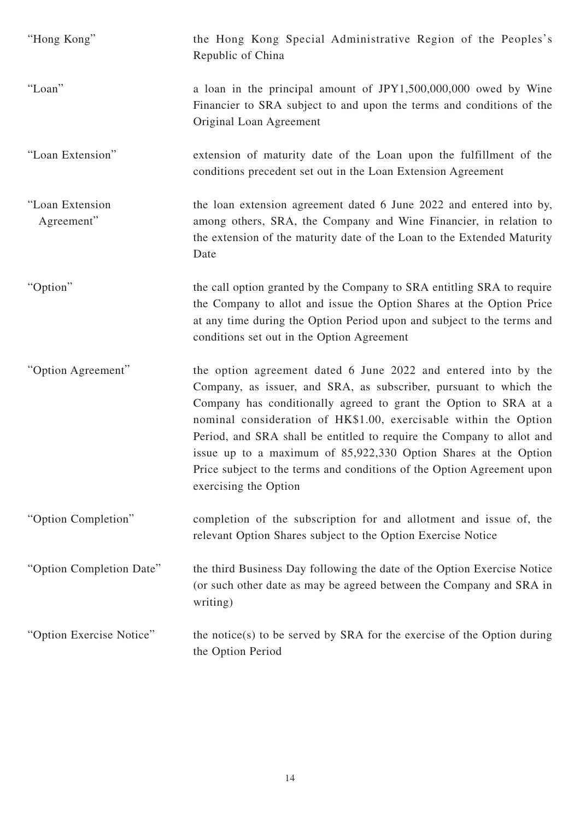| "Hong Kong"                   | the Hong Kong Special Administrative Region of the Peoples's<br>Republic of China                                                                                                                                                                                                                                                                                                                                                                                                                                          |
|-------------------------------|----------------------------------------------------------------------------------------------------------------------------------------------------------------------------------------------------------------------------------------------------------------------------------------------------------------------------------------------------------------------------------------------------------------------------------------------------------------------------------------------------------------------------|
| "Loan"                        | a loan in the principal amount of JPY1,500,000,000 owed by Wine<br>Financier to SRA subject to and upon the terms and conditions of the<br>Original Loan Agreement                                                                                                                                                                                                                                                                                                                                                         |
| "Loan Extension"              | extension of maturity date of the Loan upon the fulfillment of the<br>conditions precedent set out in the Loan Extension Agreement                                                                                                                                                                                                                                                                                                                                                                                         |
| "Loan Extension<br>Agreement" | the loan extension agreement dated 6 June 2022 and entered into by,<br>among others, SRA, the Company and Wine Financier, in relation to<br>the extension of the maturity date of the Loan to the Extended Maturity<br>Date                                                                                                                                                                                                                                                                                                |
| "Option"                      | the call option granted by the Company to SRA entitling SRA to require<br>the Company to allot and issue the Option Shares at the Option Price<br>at any time during the Option Period upon and subject to the terms and<br>conditions set out in the Option Agreement                                                                                                                                                                                                                                                     |
| "Option Agreement"            | the option agreement dated 6 June 2022 and entered into by the<br>Company, as issuer, and SRA, as subscriber, pursuant to which the<br>Company has conditionally agreed to grant the Option to SRA at a<br>nominal consideration of HK\$1.00, exercisable within the Option<br>Period, and SRA shall be entitled to require the Company to allot and<br>issue up to a maximum of 85,922,330 Option Shares at the Option<br>Price subject to the terms and conditions of the Option Agreement upon<br>exercising the Option |
| "Option Completion"           | completion of the subscription for and allotment and issue of, the<br>relevant Option Shares subject to the Option Exercise Notice                                                                                                                                                                                                                                                                                                                                                                                         |
| "Option Completion Date"      | the third Business Day following the date of the Option Exercise Notice<br>(or such other date as may be agreed between the Company and SRA in<br>writing)                                                                                                                                                                                                                                                                                                                                                                 |
| "Option Exercise Notice"      | the notice(s) to be served by SRA for the exercise of the Option during<br>the Option Period                                                                                                                                                                                                                                                                                                                                                                                                                               |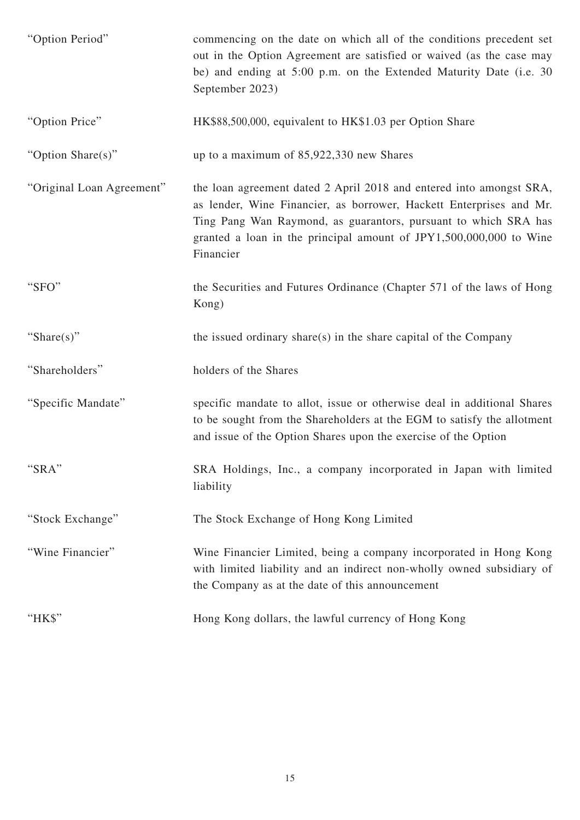| "Option Period"           | commencing on the date on which all of the conditions precedent set<br>out in the Option Agreement are satisfied or waived (as the case may<br>be) and ending at 5:00 p.m. on the Extended Maturity Date (i.e. 30<br>September 2023)                                                             |
|---------------------------|--------------------------------------------------------------------------------------------------------------------------------------------------------------------------------------------------------------------------------------------------------------------------------------------------|
| "Option Price"            | HK\$88,500,000, equivalent to HK\$1.03 per Option Share                                                                                                                                                                                                                                          |
| "Option Share(s)"         | up to a maximum of 85,922,330 new Shares                                                                                                                                                                                                                                                         |
| "Original Loan Agreement" | the loan agreement dated 2 April 2018 and entered into amongst SRA,<br>as lender, Wine Financier, as borrower, Hackett Enterprises and Mr.<br>Ting Pang Wan Raymond, as guarantors, pursuant to which SRA has<br>granted a loan in the principal amount of JPY1,500,000,000 to Wine<br>Financier |
| "SFO"                     | the Securities and Futures Ordinance (Chapter 571 of the laws of Hong<br>Kong)                                                                                                                                                                                                                   |
| "Share $(s)$ "            | the issued ordinary share(s) in the share capital of the Company                                                                                                                                                                                                                                 |
| "Shareholders"            | holders of the Shares                                                                                                                                                                                                                                                                            |
| "Specific Mandate"        | specific mandate to allot, issue or otherwise deal in additional Shares<br>to be sought from the Shareholders at the EGM to satisfy the allotment<br>and issue of the Option Shares upon the exercise of the Option                                                                              |
| "SRA"                     | SRA Holdings, Inc., a company incorporated in Japan with limited<br>liability                                                                                                                                                                                                                    |
| "Stock Exchange"          | The Stock Exchange of Hong Kong Limited                                                                                                                                                                                                                                                          |
| "Wine Financier"          | Wine Financier Limited, being a company incorporated in Hong Kong<br>with limited liability and an indirect non-wholly owned subsidiary of<br>the Company as at the date of this announcement                                                                                                    |
| "HK\$"                    | Hong Kong dollars, the lawful currency of Hong Kong                                                                                                                                                                                                                                              |